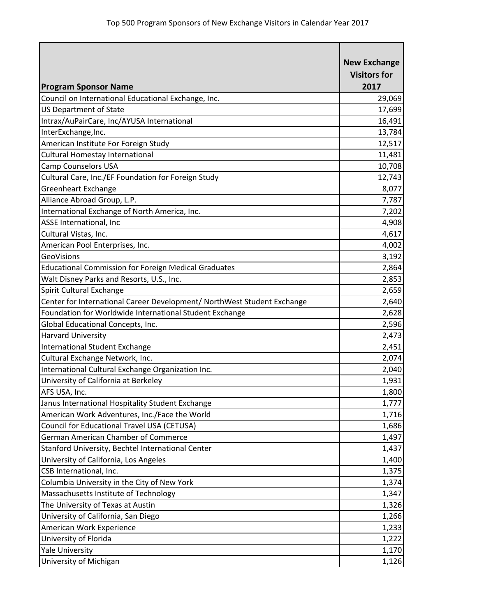| <b>Program Sponsor Name</b>                                             | <b>New Exchange</b><br><b>Visitors for</b><br>2017 |
|-------------------------------------------------------------------------|----------------------------------------------------|
| Council on International Educational Exchange, Inc.                     | 29,069                                             |
| <b>US Department of State</b>                                           | 17,699                                             |
| Intrax/AuPairCare, Inc/AYUSA International                              | 16,491                                             |
| InterExchange, Inc.                                                     | 13,784                                             |
| American Institute For Foreign Study                                    | 12,517                                             |
| Cultural Homestay International                                         | 11,481                                             |
| <b>Camp Counselors USA</b>                                              | 10,708                                             |
| Cultural Care, Inc./EF Foundation for Foreign Study                     | 12,743                                             |
| <b>Greenheart Exchange</b>                                              | 8,077                                              |
| Alliance Abroad Group, L.P.                                             | 7,787                                              |
| International Exchange of North America, Inc.                           | 7,202                                              |
| ASSE International, Inc                                                 | 4,908                                              |
| Cultural Vistas, Inc.                                                   | 4,617                                              |
| American Pool Enterprises, Inc.                                         | 4,002                                              |
| <b>GeoVisions</b>                                                       | 3,192                                              |
| <b>Educational Commission for Foreign Medical Graduates</b>             | 2,864                                              |
| Walt Disney Parks and Resorts, U.S., Inc.                               | 2,853                                              |
| Spirit Cultural Exchange                                                | 2,659                                              |
| Center for International Career Development/ NorthWest Student Exchange | 2,640                                              |
| Foundation for Worldwide International Student Exchange                 | 2,628                                              |
| Global Educational Concepts, Inc.                                       | 2,596                                              |
| <b>Harvard University</b>                                               | 2,473                                              |
| <b>International Student Exchange</b>                                   | 2,451                                              |
| Cultural Exchange Network, Inc.                                         | 2,074                                              |
| International Cultural Exchange Organization Inc.                       | 2,040                                              |
| University of California at Berkeley                                    | 1,931                                              |
| AFS USA, Inc.                                                           | 1,800                                              |
| Janus International Hospitality Student Exchange                        | 1,777                                              |
| American Work Adventures, Inc./Face the World                           | 1,716                                              |
| Council for Educational Travel USA (CETUSA)                             | 1,686                                              |
| German American Chamber of Commerce                                     | 1,497                                              |
| Stanford University, Bechtel International Center                       | 1,437                                              |
| University of California, Los Angeles                                   | 1,400                                              |
| CSB International, Inc.                                                 | 1,375                                              |
| Columbia University in the City of New York                             | 1,374                                              |
| Massachusetts Institute of Technology                                   | 1,347                                              |
| The University of Texas at Austin                                       | 1,326                                              |
| University of California, San Diego                                     | 1,266                                              |
| American Work Experience                                                | 1,233                                              |
| University of Florida                                                   | 1,222                                              |
| <b>Yale University</b>                                                  | 1,170                                              |
| University of Michigan                                                  | 1,126                                              |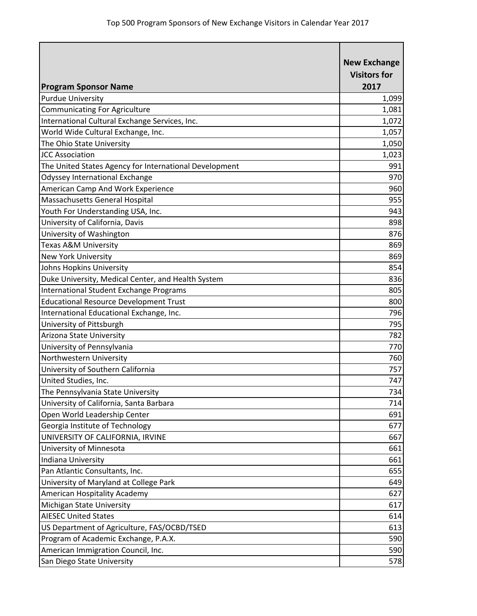| <b>Program Sponsor Name</b>                            | <b>New Exchange</b><br><b>Visitors for</b><br>2017 |
|--------------------------------------------------------|----------------------------------------------------|
| <b>Purdue University</b>                               | 1,099                                              |
| <b>Communicating For Agriculture</b>                   | 1,081                                              |
| International Cultural Exchange Services, Inc.         | 1,072                                              |
| World Wide Cultural Exchange, Inc.                     | 1,057                                              |
| The Ohio State University                              | 1,050                                              |
| <b>JCC Association</b>                                 | 1,023                                              |
| The United States Agency for International Development | 991                                                |
| <b>Odyssey International Exchange</b>                  | 970                                                |
| American Camp And Work Experience                      | 960                                                |
| Massachusetts General Hospital                         | 955                                                |
| Youth For Understanding USA, Inc.                      | 943                                                |
| University of California, Davis                        | 898                                                |
| University of Washington                               | 876                                                |
| <b>Texas A&amp;M University</b>                        | 869                                                |
| <b>New York University</b>                             | 869                                                |
| Johns Hopkins University                               | 854                                                |
| Duke University, Medical Center, and Health System     | 836                                                |
| <b>International Student Exchange Programs</b>         | 805                                                |
| <b>Educational Resource Development Trust</b>          | 800                                                |
| International Educational Exchange, Inc.               | 796                                                |
| University of Pittsburgh                               | 795                                                |
| Arizona State University                               | 782                                                |
| University of Pennsylvania                             | 770                                                |
| Northwestern University                                | 760                                                |
| University of Southern California                      | 757                                                |
| United Studies, Inc.                                   | 747                                                |
| The Pennsylvania State University                      | 734                                                |
| University of California, Santa Barbara                | 714                                                |
| Open World Leadership Center                           | 691                                                |
| Georgia Institute of Technology                        | 677                                                |
| UNIVERSITY OF CALIFORNIA, IRVINE                       | 667                                                |
| University of Minnesota                                | 661                                                |
| Indiana University                                     | 661                                                |
| Pan Atlantic Consultants, Inc.                         | 655                                                |
| University of Maryland at College Park                 | 649                                                |
| American Hospitality Academy                           | 627                                                |
| Michigan State University                              | 617                                                |
| <b>AIESEC United States</b>                            | 614                                                |
| US Department of Agriculture, FAS/OCBD/TSED            | 613                                                |
| Program of Academic Exchange, P.A.X.                   | 590                                                |
| American Immigration Council, Inc.                     | 590                                                |
| San Diego State University                             | 578                                                |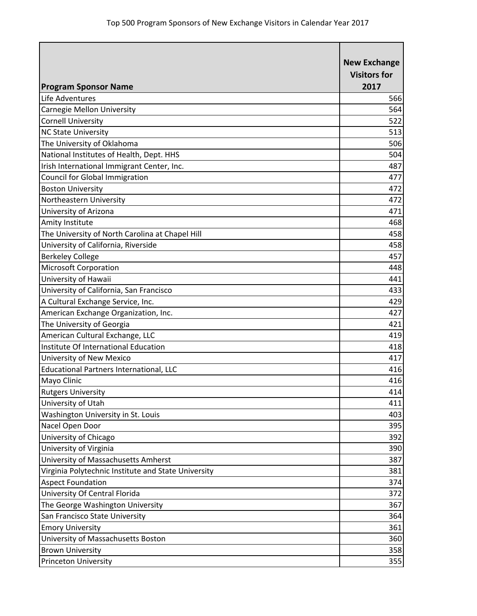| <b>Program Sponsor Name</b>                         | <b>New Exchange</b><br><b>Visitors for</b><br>2017 |
|-----------------------------------------------------|----------------------------------------------------|
| Life Adventures                                     | 566                                                |
| Carnegie Mellon University                          | 564                                                |
| <b>Cornell University</b>                           | 522                                                |
| <b>NC State University</b>                          | 513                                                |
| The University of Oklahoma                          | 506                                                |
| National Institutes of Health, Dept. HHS            | 504                                                |
| Irish International Immigrant Center, Inc.          | 487                                                |
| Council for Global Immigration                      | 477                                                |
| <b>Boston University</b>                            | 472                                                |
| Northeastern University                             | 472                                                |
| University of Arizona                               | 471                                                |
| Amity Institute                                     | 468                                                |
| The University of North Carolina at Chapel Hill     | 458                                                |
| University of California, Riverside                 | 458                                                |
| <b>Berkeley College</b>                             | 457                                                |
| <b>Microsoft Corporation</b>                        | 448                                                |
| University of Hawaii                                | 441                                                |
| University of California, San Francisco             | 433                                                |
| A Cultural Exchange Service, Inc.                   | 429                                                |
| American Exchange Organization, Inc.                | 427                                                |
| The University of Georgia                           | 421                                                |
| American Cultural Exchange, LLC                     | 419                                                |
| Institute Of International Education                | 418                                                |
| University of New Mexico                            | 417                                                |
| <b>Educational Partners International, LLC</b>      | 416                                                |
| Mayo Clinic                                         | 416                                                |
| <b>Rutgers University</b>                           | 414                                                |
| University of Utah                                  | 411                                                |
| Washington University in St. Louis                  | 403                                                |
| Nacel Open Door                                     | 395                                                |
| University of Chicago                               | 392                                                |
| University of Virginia                              | 390                                                |
| University of Massachusetts Amherst                 | 387                                                |
| Virginia Polytechnic Institute and State University | 381                                                |
| <b>Aspect Foundation</b>                            | 374                                                |
| University Of Central Florida                       | 372                                                |
| The George Washington University                    | 367                                                |
| San Francisco State University                      | 364                                                |
| <b>Emory University</b>                             | 361                                                |
| University of Massachusetts Boston                  | 360                                                |
| <b>Brown University</b>                             | 358                                                |
| <b>Princeton University</b>                         | 355                                                |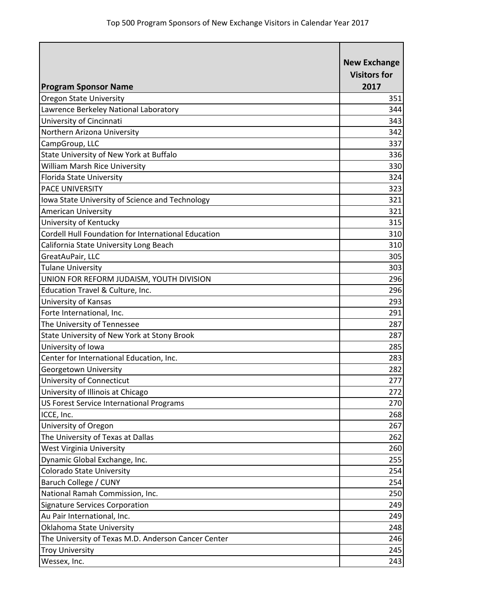| <b>Program Sponsor Name</b>                         | <b>New Exchange</b><br><b>Visitors for</b><br>2017 |
|-----------------------------------------------------|----------------------------------------------------|
| <b>Oregon State University</b>                      | 351                                                |
| Lawrence Berkeley National Laboratory               | 344                                                |
| University of Cincinnati                            | 343                                                |
| Northern Arizona University                         | 342                                                |
| CampGroup, LLC                                      | 337                                                |
| State University of New York at Buffalo             | 336                                                |
| William Marsh Rice University                       | 330                                                |
| Florida State University                            | 324                                                |
| <b>PACE UNIVERSITY</b>                              | 323                                                |
| Iowa State University of Science and Technology     | 321                                                |
| <b>American University</b>                          | 321                                                |
| University of Kentucky                              | 315                                                |
| Cordell Hull Foundation for International Education | 310                                                |
| California State University Long Beach              | 310                                                |
| GreatAuPair, LLC                                    | 305                                                |
| <b>Tulane University</b>                            | 303                                                |
| UNION FOR REFORM JUDAISM, YOUTH DIVISION            | 296                                                |
| Education Travel & Culture, Inc.                    | 296                                                |
| University of Kansas                                | 293                                                |
| Forte International, Inc.                           | 291                                                |
| The University of Tennessee                         | 287                                                |
| State University of New York at Stony Brook         | 287                                                |
| University of Iowa                                  | 285                                                |
| Center for International Education, Inc.            | 283                                                |
| Georgetown University                               | 282                                                |
| University of Connecticut                           | 277                                                |
| University of Illinois at Chicago                   | 272                                                |
| US Forest Service International Programs            | 270                                                |
| ICCE, Inc.                                          | 268                                                |
| University of Oregon                                | 267                                                |
| The University of Texas at Dallas                   | 262                                                |
| <b>West Virginia University</b>                     | 260                                                |
| Dynamic Global Exchange, Inc.                       | 255                                                |
| <b>Colorado State University</b>                    | 254                                                |
| Baruch College / CUNY                               | 254                                                |
| National Ramah Commission, Inc.                     | 250                                                |
| <b>Signature Services Corporation</b>               | 249                                                |
| Au Pair International, Inc.                         | 249                                                |
| Oklahoma State University                           | 248                                                |
| The University of Texas M.D. Anderson Cancer Center | 246                                                |
| <b>Troy University</b>                              | 245                                                |
| Wessex, Inc.                                        | 243                                                |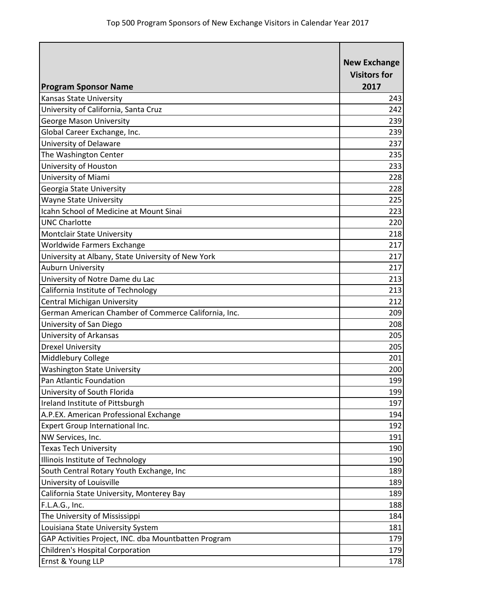| <b>Program Sponsor Name</b>                          | <b>New Exchange</b><br><b>Visitors for</b><br>2017 |
|------------------------------------------------------|----------------------------------------------------|
| <b>Kansas State University</b>                       | 243                                                |
| University of California, Santa Cruz                 | 242                                                |
| <b>George Mason University</b>                       | 239                                                |
| Global Career Exchange, Inc.                         | 239                                                |
| University of Delaware                               | 237                                                |
| The Washington Center                                | 235                                                |
| University of Houston                                | 233                                                |
| University of Miami                                  | 228                                                |
| Georgia State University                             | 228                                                |
| <b>Wayne State University</b>                        | 225                                                |
| <b>Icahn School of Medicine at Mount Sinai</b>       | 223                                                |
| <b>UNC Charlotte</b>                                 | 220                                                |
| Montclair State University                           | 218                                                |
| Worldwide Farmers Exchange                           | 217                                                |
| University at Albany, State University of New York   | 217                                                |
| <b>Auburn University</b>                             | 217                                                |
| University of Notre Dame du Lac                      | 213                                                |
| California Institute of Technology                   | 213                                                |
| Central Michigan University                          | 212                                                |
| German American Chamber of Commerce California, Inc. | 209                                                |
| University of San Diego                              | 208                                                |
| University of Arkansas                               | 205                                                |
| <b>Drexel University</b>                             | 205                                                |
| Middlebury College                                   | 201                                                |
| <b>Washington State University</b>                   | 200                                                |
| Pan Atlantic Foundation                              | 199                                                |
| University of South Florida                          | 199                                                |
| Ireland Institute of Pittsburgh                      | 197                                                |
| A.P.EX. American Professional Exchange               | 194                                                |
| Expert Group International Inc.                      | 192                                                |
| NW Services, Inc.                                    | 191                                                |
| <b>Texas Tech University</b>                         | 190                                                |
| Illinois Institute of Technology                     | 190                                                |
| South Central Rotary Youth Exchange, Inc             | 189                                                |
| University of Louisville                             | 189                                                |
| California State University, Monterey Bay            | 189                                                |
| F.L.A.G., Inc.                                       | 188                                                |
| The University of Mississippi                        | 184                                                |
| Louisiana State University System                    | 181                                                |
| GAP Activities Project, INC. dba Mountbatten Program | 179                                                |
| Children's Hospital Corporation                      | 179                                                |
| Ernst & Young LLP                                    | 178                                                |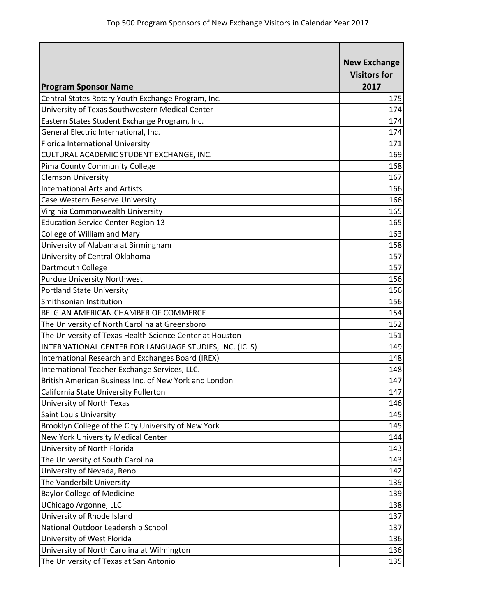| <b>Program Sponsor Name</b>                              | <b>New Exchange</b><br><b>Visitors for</b><br>2017 |
|----------------------------------------------------------|----------------------------------------------------|
| Central States Rotary Youth Exchange Program, Inc.       | 175                                                |
| University of Texas Southwestern Medical Center          | 174                                                |
| Eastern States Student Exchange Program, Inc.            | 174                                                |
| General Electric International, Inc.                     | 174                                                |
| Florida International University                         | 171                                                |
| CULTURAL ACADEMIC STUDENT EXCHANGE, INC.                 | 169                                                |
| Pima County Community College                            | 168                                                |
| <b>Clemson University</b>                                | 167                                                |
| <b>International Arts and Artists</b>                    | 166                                                |
| Case Western Reserve University                          | 166                                                |
| Virginia Commonwealth University                         | 165                                                |
| <b>Education Service Center Region 13</b>                | 165                                                |
| College of William and Mary                              | 163                                                |
| University of Alabama at Birmingham                      | 158                                                |
| University of Central Oklahoma                           | 157                                                |
| Dartmouth College                                        | 157                                                |
| <b>Purdue University Northwest</b>                       | 156                                                |
| <b>Portland State University</b>                         | 156                                                |
| Smithsonian Institution                                  | 156                                                |
| BELGIAN AMERICAN CHAMBER OF COMMERCE                     | 154                                                |
| The University of North Carolina at Greensboro           | 152                                                |
| The University of Texas Health Science Center at Houston | 151                                                |
| INTERNATIONAL CENTER FOR LANGUAGE STUDIES, INC. (ICLS)   | 149                                                |
| International Research and Exchanges Board (IREX)        | 148                                                |
| International Teacher Exchange Services, LLC.            | 148                                                |
| British American Business Inc. of New York and London    | 147                                                |
| California State University Fullerton                    | 147                                                |
| University of North Texas                                | 146                                                |
| Saint Louis University                                   | 145                                                |
| Brooklyn College of the City University of New York      | 145                                                |
| New York University Medical Center                       | 144                                                |
| University of North Florida                              | 143                                                |
| The University of South Carolina                         | 143                                                |
| University of Nevada, Reno                               | 142                                                |
| The Vanderbilt University                                | 139                                                |
| <b>Baylor College of Medicine</b>                        | 139                                                |
| UChicago Argonne, LLC                                    | 138                                                |
| University of Rhode Island                               | 137                                                |
| National Outdoor Leadership School                       | 137                                                |
| University of West Florida                               | 136                                                |
| University of North Carolina at Wilmington               | 136                                                |
| The University of Texas at San Antonio                   | 135                                                |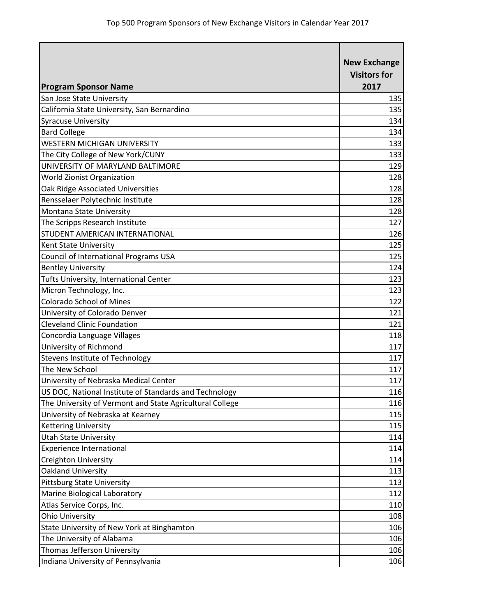| <b>Program Sponsor Name</b>                              | <b>New Exchange</b><br><b>Visitors for</b><br>2017 |
|----------------------------------------------------------|----------------------------------------------------|
| San Jose State University                                | 135                                                |
| California State University, San Bernardino              | 135                                                |
| <b>Syracuse University</b>                               | 134                                                |
| <b>Bard College</b>                                      | 134                                                |
| <b>WESTERN MICHIGAN UNIVERSITY</b>                       | 133                                                |
| The City College of New York/CUNY                        | 133                                                |
| UNIVERSITY OF MARYLAND BALTIMORE                         | 129                                                |
| <b>World Zionist Organization</b>                        | 128                                                |
| Oak Ridge Associated Universities                        | 128                                                |
| Rensselaer Polytechnic Institute                         | 128                                                |
| Montana State University                                 | 128                                                |
| The Scripps Research Institute                           | 127                                                |
| STUDENT AMERICAN INTERNATIONAL                           | 126                                                |
| Kent State University                                    | 125                                                |
| Council of International Programs USA                    | 125                                                |
| <b>Bentley University</b>                                | 124                                                |
| Tufts University, International Center                   | 123                                                |
| Micron Technology, Inc.                                  | 123                                                |
| <b>Colorado School of Mines</b>                          | 122                                                |
| University of Colorado Denver                            | 121                                                |
| <b>Cleveland Clinic Foundation</b>                       | 121                                                |
| Concordia Language Villages                              | 118                                                |
| University of Richmond                                   | 117                                                |
| <b>Stevens Institute of Technology</b>                   | 117                                                |
| The New School                                           | 117                                                |
| University of Nebraska Medical Center                    | 117                                                |
| US DOC, National Institute of Standards and Technology   | 116                                                |
| The University of Vermont and State Agricultural College | 116                                                |
| University of Nebraska at Kearney                        | 115                                                |
| Kettering University                                     | 115                                                |
| <b>Utah State University</b>                             | 114                                                |
| <b>Experience International</b>                          | 114                                                |
| Creighton University                                     | 114                                                |
| Oakland University                                       | 113                                                |
| <b>Pittsburg State University</b>                        | 113                                                |
| Marine Biological Laboratory                             | 112                                                |
| Atlas Service Corps, Inc.                                | 110                                                |
| <b>Ohio University</b>                                   | 108                                                |
| State University of New York at Binghamton               | 106                                                |
| The University of Alabama                                | 106                                                |
| Thomas Jefferson University                              | 106                                                |
| Indiana University of Pennsylvania                       | 106                                                |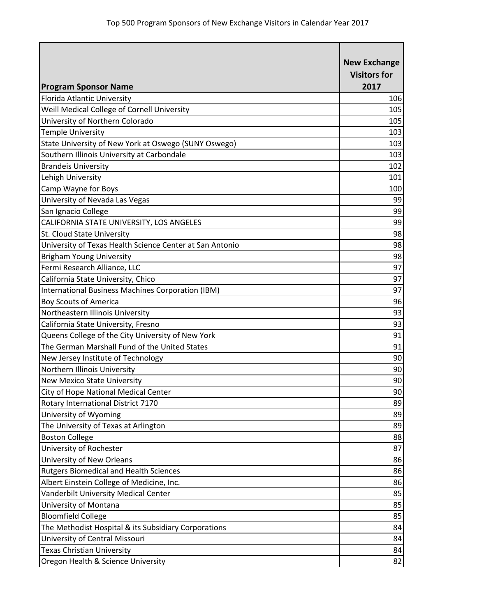| <b>Program Sponsor Name</b>                              | <b>New Exchange</b><br><b>Visitors for</b><br>2017 |
|----------------------------------------------------------|----------------------------------------------------|
| Florida Atlantic University                              | 106                                                |
| Weill Medical College of Cornell University              | 105                                                |
| University of Northern Colorado                          | 105                                                |
| <b>Temple University</b>                                 | 103                                                |
| State University of New York at Oswego (SUNY Oswego)     | 103                                                |
| Southern Illinois University at Carbondale               | 103                                                |
| <b>Brandeis University</b>                               | 102                                                |
| Lehigh University                                        | 101                                                |
| Camp Wayne for Boys                                      | 100                                                |
| University of Nevada Las Vegas                           | 99                                                 |
| San Ignacio College                                      | 99                                                 |
| CALIFORNIA STATE UNIVERSITY, LOS ANGELES                 | 99                                                 |
| St. Cloud State University                               | 98                                                 |
| University of Texas Health Science Center at San Antonio | 98                                                 |
| <b>Brigham Young University</b>                          | 98                                                 |
| Fermi Research Alliance, LLC                             | 97                                                 |
| California State University, Chico                       | 97                                                 |
| International Business Machines Corporation (IBM)        | 97                                                 |
| <b>Boy Scouts of America</b>                             | 96                                                 |
| Northeastern Illinois University                         | 93                                                 |
| California State University, Fresno                      | 93                                                 |
| Queens College of the City University of New York        | 91                                                 |
| The German Marshall Fund of the United States            | 91                                                 |
| New Jersey Institute of Technology                       | 90                                                 |
| Northern Illinois University                             | 90                                                 |
| <b>New Mexico State University</b>                       | 90                                                 |
| City of Hope National Medical Center                     | 90                                                 |
| Rotary International District 7170                       | 89                                                 |
| University of Wyoming                                    | 89                                                 |
| The University of Texas at Arlington                     | 89                                                 |
| <b>Boston College</b>                                    | 88                                                 |
| University of Rochester                                  | 87                                                 |
| University of New Orleans                                | 86                                                 |
| <b>Rutgers Biomedical and Health Sciences</b>            | 86                                                 |
| Albert Einstein College of Medicine, Inc.                | 86                                                 |
| Vanderbilt University Medical Center                     | 85                                                 |
| University of Montana                                    | 85                                                 |
| <b>Bloomfield College</b>                                | 85                                                 |
| The Methodist Hospital & its Subsidiary Corporations     | 84                                                 |
| University of Central Missouri                           | 84                                                 |
| <b>Texas Christian University</b>                        | 84                                                 |
| Oregon Health & Science University                       | 82                                                 |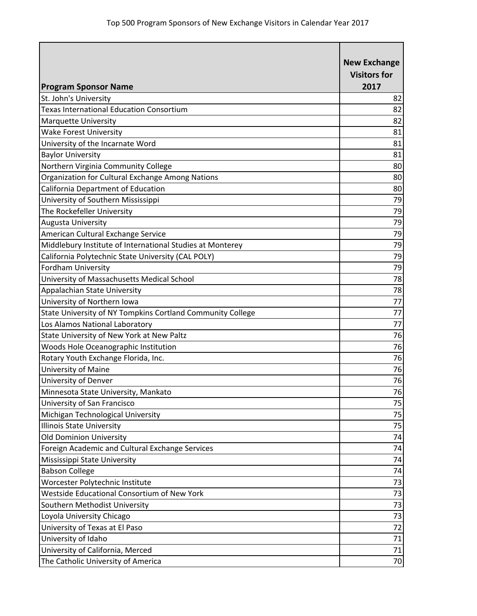| <b>Program Sponsor Name</b>                                | <b>New Exchange</b><br><b>Visitors for</b><br>2017 |
|------------------------------------------------------------|----------------------------------------------------|
| St. John's University                                      | 82                                                 |
| <b>Texas International Education Consortium</b>            | 82                                                 |
| Marquette University                                       | 82                                                 |
| <b>Wake Forest University</b>                              | 81                                                 |
| University of the Incarnate Word                           | 81                                                 |
| <b>Baylor University</b>                                   | 81                                                 |
| Northern Virginia Community College                        | 80                                                 |
| Organization for Cultural Exchange Among Nations           | 80                                                 |
| California Department of Education                         | 80                                                 |
| University of Southern Mississippi                         | 79                                                 |
| The Rockefeller University                                 | 79                                                 |
| Augusta University                                         | 79                                                 |
| American Cultural Exchange Service                         | 79                                                 |
| Middlebury Institute of International Studies at Monterey  | 79                                                 |
| California Polytechnic State University (CAL POLY)         | 79                                                 |
| Fordham University                                         | 79                                                 |
| University of Massachusetts Medical School                 | 78                                                 |
| Appalachian State University                               | 78                                                 |
| University of Northern Iowa                                | 77                                                 |
| State University of NY Tompkins Cortland Community College | 77                                                 |
| Los Alamos National Laboratory                             | 77                                                 |
| State University of New York at New Paltz                  | 76                                                 |
| Woods Hole Oceanographic Institution                       | 76                                                 |
| Rotary Youth Exchange Florida, Inc.                        | 76                                                 |
| <b>University of Maine</b>                                 | 76                                                 |
| University of Denver                                       | 76                                                 |
| Minnesota State University, Mankato                        | 76                                                 |
| University of San Francisco                                | 75                                                 |
| Michigan Technological University                          | 75                                                 |
| <b>Illinois State University</b>                           | 75                                                 |
| <b>Old Dominion University</b>                             | 74                                                 |
| Foreign Academic and Cultural Exchange Services            | 74                                                 |
| Mississippi State University                               | 74                                                 |
| <b>Babson College</b>                                      | 74                                                 |
| Worcester Polytechnic Institute                            | 73                                                 |
| Westside Educational Consortium of New York                | 73                                                 |
| Southern Methodist University                              | 73                                                 |
| Loyola University Chicago                                  | 73                                                 |
| University of Texas at El Paso                             | 72                                                 |
| University of Idaho                                        | 71                                                 |
| University of California, Merced                           | 71                                                 |
| The Catholic University of America                         | 70                                                 |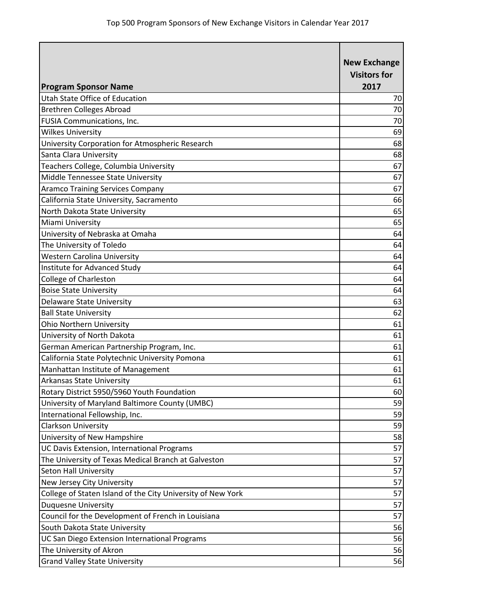| <b>Program Sponsor Name</b>                                 | <b>New Exchange</b><br><b>Visitors for</b><br>2017 |
|-------------------------------------------------------------|----------------------------------------------------|
| Utah State Office of Education                              | 70                                                 |
| <b>Brethren Colleges Abroad</b>                             | 70                                                 |
| FUSIA Communications, Inc.                                  | 70                                                 |
| <b>Wilkes University</b>                                    | 69                                                 |
| University Corporation for Atmospheric Research             | 68                                                 |
| Santa Clara University                                      | 68                                                 |
| Teachers College, Columbia University                       | 67                                                 |
| Middle Tennessee State University                           | 67                                                 |
| <b>Aramco Training Services Company</b>                     | 67                                                 |
| California State University, Sacramento                     | 66                                                 |
| North Dakota State University                               | 65                                                 |
| Miami University                                            | 65                                                 |
| University of Nebraska at Omaha                             | 64                                                 |
| The University of Toledo                                    | 64                                                 |
| <b>Western Carolina University</b>                          | 64                                                 |
| Institute for Advanced Study                                | 64                                                 |
| <b>College of Charleston</b>                                | 64                                                 |
| <b>Boise State University</b>                               | 64                                                 |
| <b>Delaware State University</b>                            | 63                                                 |
| <b>Ball State University</b>                                | 62                                                 |
| <b>Ohio Northern University</b>                             | 61                                                 |
| University of North Dakota                                  | 61                                                 |
| German American Partnership Program, Inc.                   | 61                                                 |
| California State Polytechnic University Pomona              | 61                                                 |
| Manhattan Institute of Management                           | 61                                                 |
| Arkansas State University                                   | 61                                                 |
| Rotary District 5950/5960 Youth Foundation                  | 60                                                 |
| University of Maryland Baltimore County (UMBC)              | 59                                                 |
| International Fellowship, Inc.                              | 59                                                 |
| <b>Clarkson University</b>                                  | 59                                                 |
| University of New Hampshire                                 | 58                                                 |
| UC Davis Extension, International Programs                  | 57                                                 |
| The University of Texas Medical Branch at Galveston         | 57                                                 |
| <b>Seton Hall University</b>                                | 57                                                 |
| New Jersey City University                                  | 57                                                 |
| College of Staten Island of the City University of New York | 57                                                 |
| <b>Duquesne University</b>                                  | 57                                                 |
| Council for the Development of French in Louisiana          | 57                                                 |
| South Dakota State University                               | 56                                                 |
| UC San Diego Extension International Programs               | 56                                                 |
| The University of Akron                                     | 56                                                 |
| <b>Grand Valley State University</b>                        | 56                                                 |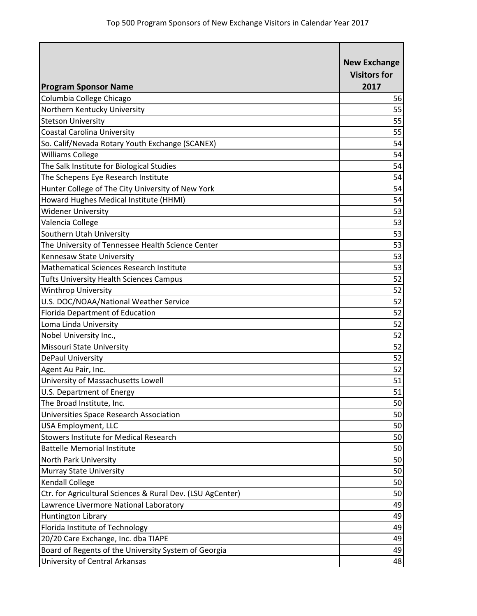| <b>Program Sponsor Name</b>                                | <b>New Exchange</b><br><b>Visitors for</b><br>2017 |
|------------------------------------------------------------|----------------------------------------------------|
| Columbia College Chicago                                   | 56                                                 |
| Northern Kentucky University                               | 55                                                 |
| <b>Stetson University</b>                                  | 55                                                 |
| <b>Coastal Carolina University</b>                         | 55                                                 |
| So. Calif/Nevada Rotary Youth Exchange (SCANEX)            | 54                                                 |
| <b>Williams College</b>                                    | 54                                                 |
| The Salk Institute for Biological Studies                  | 54                                                 |
| The Schepens Eye Research Institute                        | 54                                                 |
| Hunter College of The City University of New York          | 54                                                 |
| Howard Hughes Medical Institute (HHMI)                     | 54                                                 |
| <b>Widener University</b>                                  | 53                                                 |
| Valencia College                                           | 53                                                 |
| Southern Utah University                                   | 53                                                 |
| The University of Tennessee Health Science Center          | 53                                                 |
| Kennesaw State University                                  | 53                                                 |
| Mathematical Sciences Research Institute                   | 53                                                 |
| <b>Tufts University Health Sciences Campus</b>             | 52                                                 |
| <b>Winthrop University</b>                                 | 52                                                 |
| U.S. DOC/NOAA/National Weather Service                     | 52                                                 |
| Florida Department of Education                            | 52                                                 |
| Loma Linda University                                      | 52                                                 |
| Nobel University Inc.,                                     | 52                                                 |
| <b>Missouri State University</b>                           | 52                                                 |
| <b>DePaul University</b>                                   | 52                                                 |
| Agent Au Pair, Inc.                                        | 52                                                 |
| University of Massachusetts Lowell                         | 51                                                 |
| U.S. Department of Energy                                  | 51                                                 |
| The Broad Institute, Inc.                                  | 50                                                 |
| Universities Space Research Association                    | 50                                                 |
| <b>USA Employment, LLC</b>                                 | 50                                                 |
| <b>Stowers Institute for Medical Research</b>              | 50                                                 |
| <b>Battelle Memorial Institute</b>                         | 50                                                 |
| North Park University                                      | 50                                                 |
| Murray State University                                    | 50                                                 |
| Kendall College                                            | 50                                                 |
| Ctr. for Agricultural Sciences & Rural Dev. (LSU AgCenter) | 50                                                 |
| Lawrence Livermore National Laboratory                     | 49                                                 |
| Huntington Library                                         | 49                                                 |
| Florida Institute of Technology                            | 49                                                 |
| 20/20 Care Exchange, Inc. dba TIAPE                        | 49                                                 |
| Board of Regents of the University System of Georgia       | 49                                                 |
| University of Central Arkansas                             | 48                                                 |